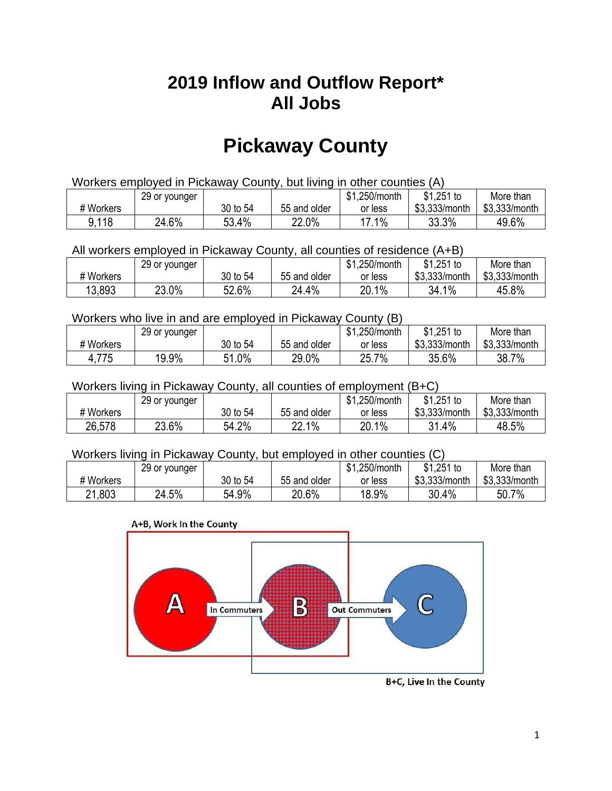## **2019 Inflow and Outflow Report\* All Jobs**

# **Pickaway County**

| Workers employed in Pickaway County, but living in other counties (A) |                                                            |          |              |         |               |               |  |  |  |
|-----------------------------------------------------------------------|------------------------------------------------------------|----------|--------------|---------|---------------|---------------|--|--|--|
|                                                                       | $$1,251$ to<br>\$1,250/month<br>More than<br>29 or younger |          |              |         |               |               |  |  |  |
| # Workers                                                             |                                                            | 30 to 54 | 55 and older | or less | \$3.333/month | \$3,333/month |  |  |  |
| 9,118                                                                 | 24.6%                                                      | 53.4%    | 22.0%        | 17.1%   | 33.3%         | 49.6%         |  |  |  |

All workers employed in Pickaway County, all counties of residence (A+B)

|           | 29 or younger |          |              | \$1,250/month | $$1,251$ to   | More than     |
|-----------|---------------|----------|--------------|---------------|---------------|---------------|
| # Workers |               | 30 to 54 | 55 and older | or less       | \$3,333/month | \$3,333/month |
| 13,893    | 23.0%         | 52.6%    | 24.4%        | 20.1%         | 34.1%         | 45.8%         |

#### Workers who live in and are employed in Pickaway County (B)

|           | 29 or younger |                 |              | \$1,250/month | $$1,251$ to   | More than     |
|-----------|---------------|-----------------|--------------|---------------|---------------|---------------|
| # Workers |               | 30 to 54        | 55 and older | or less       | \$3,333/month | \$3,333/month |
| 4,775     | 19.9%         | $1.0\%$<br>E 4. | 29.0%        | 25.7%         | 35.6%         | 38.7%         |

Workers living in Pickaway County, all counties of employment (B+C)

|           | 29 or younger |          |              | \$1,250/month | \$1,251 to    | More than     |
|-----------|---------------|----------|--------------|---------------|---------------|---------------|
| # Workers |               | 30 to 54 | 55 and older | or less       | \$3,333/month | \$3,333/month |
| 26,578    | 23.6%         | 54.2%    | 22.1%        | 20.1%         | 31.4%         | 48.5%         |

#### Workers living in Pickaway County, but employed in other counties (C)

|           | 29 or younger |          |              | \$1,250/month | $$1,251$ to   | More than     |
|-----------|---------------|----------|--------------|---------------|---------------|---------------|
| # Workers |               | 30 to 54 | 55 and older | or less       | \$3,333/month | \$3,333/month |
| 21,803    | 24.5%         | 54.9%    | 20.6%        | 18.9%         | 30.4%         | 50.7%         |

#### A+B, Work In the County